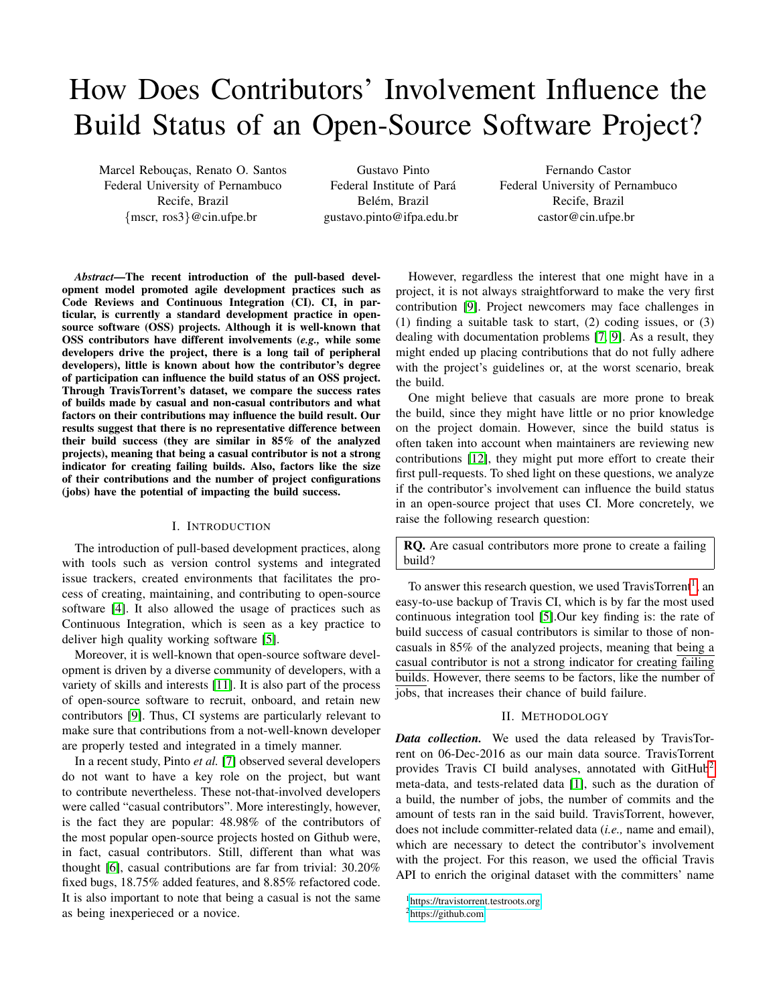# How Does Contributors' Involvement Influence the Build Status of an Open-Source Software Project?

Marcel Reboucas, Renato O. Santos Federal University of Pernambuco Recife, Brazil {mscr, ros3}@cin.ufpe.br

Gustavo Pinto Federal Institute of Para´ Belém, Brazil gustavo.pinto@ifpa.edu.br

Fernando Castor Federal University of Pernambuco Recife, Brazil castor@cin.ufpe.br

*Abstract*—The recent introduction of the pull-based development model promoted agile development practices such as Code Reviews and Continuous Integration (CI). CI, in particular, is currently a standard development practice in opensource software (OSS) projects. Although it is well-known that OSS contributors have different involvements (*e.g.,* while some developers drive the project, there is a long tail of peripheral developers), little is known about how the contributor's degree of participation can influence the build status of an OSS project. Through TravisTorrent's dataset, we compare the success rates of builds made by casual and non-casual contributors and what factors on their contributions may influence the build result. Our results suggest that there is no representative difference between their build success (they are similar in 85% of the analyzed projects), meaning that being a casual contributor is not a strong indicator for creating failing builds. Also, factors like the size of their contributions and the number of project configurations (jobs) have the potential of impacting the build success.

# I. INTRODUCTION

The introduction of pull-based development practices, along with tools such as version control systems and integrated issue trackers, created environments that facilitates the process of creating, maintaining, and contributing to open-source software [\[4\]](#page-3-0). It also allowed the usage of practices such as Continuous Integration, which is seen as a key practice to deliver high quality working software [\[5\]](#page-3-1).

Moreover, it is well-known that open-source software development is driven by a diverse community of developers, with a variety of skills and interests [\[11\]](#page-3-2). It is also part of the process of open-source software to recruit, onboard, and retain new contributors [\[9\]](#page-3-3). Thus, CI systems are particularly relevant to make sure that contributions from a not-well-known developer are properly tested and integrated in a timely manner.

In a recent study, Pinto *et al.* [\[7\]](#page-3-4) observed several developers do not want to have a key role on the project, but want to contribute nevertheless. These not-that-involved developers were called "casual contributors". More interestingly, however, is the fact they are popular: 48.98% of the contributors of the most popular open-source projects hosted on Github were, in fact, casual contributors. Still, different than what was thought [\[6\]](#page-3-5), casual contributions are far from trivial: 30.20% fixed bugs, 18.75% added features, and 8.85% refactored code. It is also important to note that being a casual is not the same as being inexperieced or a novice.

However, regardless the interest that one might have in a project, it is not always straightforward to make the very first contribution [\[9\]](#page-3-3). Project newcomers may face challenges in (1) finding a suitable task to start, (2) coding issues, or (3) dealing with documentation problems [\[7,](#page-3-4) [9\]](#page-3-3). As a result, they might ended up placing contributions that do not fully adhere with the project's guidelines or, at the worst scenario, break the build.

One might believe that casuals are more prone to break the build, since they might have little or no prior knowledge on the project domain. However, since the build status is often taken into account when maintainers are reviewing new contributions [\[12\]](#page-3-6), they might put more effort to create their first pull-requests. To shed light on these questions, we analyze if the contributor's involvement can influence the build status in an open-source project that uses CI. More concretely, we raise the following research question:

RQ. Are casual contributors more prone to create a failing build?

To answer this research question, we used TravisTorrent<sup>[1](#page-0-0)</sup>, an easy-to-use backup of Travis CI, which is by far the most used continuous integration tool [\[5\]](#page-3-1).Our key finding is: the rate of build success of casual contributors is similar to those of noncasuals in 85% of the analyzed projects, meaning that being a casual contributor is not a strong indicator for creating failing builds. However, there seems to be factors, like the number of jobs, that increases their chance of build failure.

#### II. METHODOLOGY

*Data collection.* We used the data released by TravisTorrent on 06-Dec-2016 as our main data source. TravisTorrent provides Travis CI build analyses, annotated with GitHub<sup>[2](#page-0-1)</sup> meta-data, and tests-related data [\[1\]](#page-3-7), such as the duration of a build, the number of jobs, the number of commits and the amount of tests ran in the said build. TravisTorrent, however, does not include committer-related data (*i.e.,* name and email), which are necessary to detect the contributor's involvement with the project. For this reason, we used the official Travis API to enrich the original dataset with the committers' name

<span id="page-0-0"></span><sup>1</sup><https://travistorrent.testroots.org>

<span id="page-0-1"></span><sup>2</sup><https://github.com>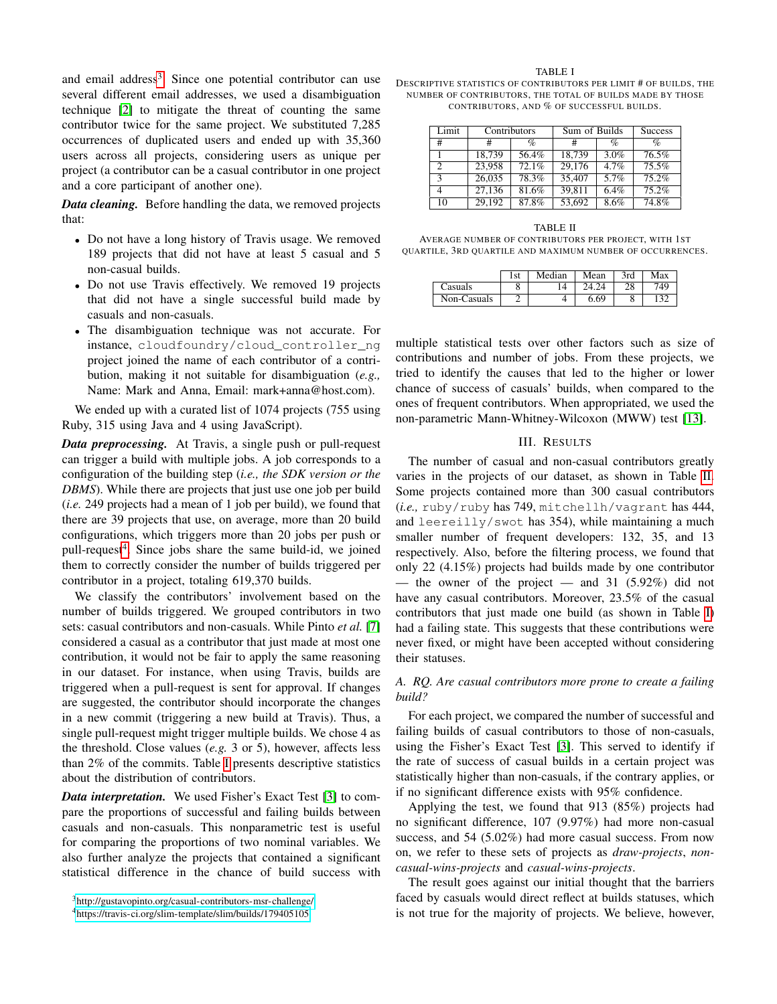and email address<sup>[3](#page-1-0)</sup>. Since one potential contributor can use several different email addresses, we used a disambiguation technique [\[2\]](#page-3-8) to mitigate the threat of counting the same contributor twice for the same project. We substituted 7,285 occurrences of duplicated users and ended up with 35,360 users across all projects, considering users as unique per project (a contributor can be a casual contributor in one project and a core participant of another one).

*Data cleaning.* Before handling the data, we removed projects that:

- Do not have a long history of Travis usage. We removed 189 projects that did not have at least 5 casual and 5 non-casual builds.
- Do not use Travis effectively. We removed 19 projects that did not have a single successful build made by casuals and non-casuals.
- The disambiguation technique was not accurate. For instance, cloudfoundry/cloud controller ng project joined the name of each contributor of a contribution, making it not suitable for disambiguation (*e.g.,* Name: Mark and Anna, Email: mark+anna@host.com).

We ended up with a curated list of 1074 projects (755 using Ruby, 315 using Java and 4 using JavaScript).

*Data preprocessing.* At Travis, a single push or pull-request can trigger a build with multiple jobs. A job corresponds to a configuration of the building step (*i.e., the SDK version or the DBMS*). While there are projects that just use one job per build (*i.e.* 249 projects had a mean of 1 job per build), we found that there are 39 projects that use, on average, more than 20 build configurations, which triggers more than 20 jobs per push or pull-request<sup>[4](#page-1-1)</sup>. Since jobs share the same build-id, we joined them to correctly consider the number of builds triggered per contributor in a project, totaling 619,370 builds.

We classify the contributors' involvement based on the number of builds triggered. We grouped contributors in two sets: casual contributors and non-casuals. While Pinto *et al.* [\[7\]](#page-3-4) considered a casual as a contributor that just made at most one contribution, it would not be fair to apply the same reasoning in our dataset. For instance, when using Travis, builds are triggered when a pull-request is sent for approval. If changes are suggested, the contributor should incorporate the changes in a new commit (triggering a new build at Travis). Thus, a single pull-request might trigger multiple builds. We chose 4 as the threshold. Close values (*e.g.* 3 or 5), however, affects less than 2% of the commits. Table [I](#page-1-2) presents descriptive statistics about the distribution of contributors.

*Data interpretation.* We used Fisher's Exact Test [\[3\]](#page-3-9) to compare the proportions of successful and failing builds between casuals and non-casuals. This nonparametric test is useful for comparing the proportions of two nominal variables. We also further analyze the projects that contained a significant statistical difference in the chance of build success with

<span id="page-1-2"></span>DESCRIPTIVE STATISTICS OF CONTRIBUTORS PER LIMIT # OF BUILDS, THE NUMBER OF CONTRIBUTORS, THE TOTAL OF BUILDS MADE BY THOSE CONTRIBUTORS, AND % OF SUCCESSFUL BUILDS.

| Limit          | Contributors |       | Sum of Builds |      | <b>Success</b>      |
|----------------|--------------|-------|---------------|------|---------------------|
| #              | #            | $\%$  | #             | $\%$ | $\%$                |
|                | 18.739       | 56.4% | 18.739        | 3.0% | 76.5%               |
| $\mathfrak{D}$ | 23.958       | 72.1% | 29.176        | 4.7% | 75.5%               |
| 3              | 26.035       | 78.3% | 35,407        | 5.7% | 75.2%               |
|                | 27.136       | 81.6% | 39.811        | 6.4% | 75.2%               |
| 10             | 29.192       | 87.8% | 53,692        | 8.6% | $74.\overline{8\%}$ |

<span id="page-1-3"></span>TABLE II AVERAGE NUMBER OF CONTRIBUTORS PER PROJECT, WITH 1ST QUARTILE, 3RD QUARTILE AND MAXIMUM NUMBER OF OCCURRENCES.

|             | 1st | Median | Mean | 3rd      | Max  |
|-------------|-----|--------|------|----------|------|
| Casuals     |     |        |      | o۵<br>∠ه | 749. |
| Non-Casuals |     |        | 6.69 |          | 122  |

multiple statistical tests over other factors such as size of contributions and number of jobs. From these projects, we tried to identify the causes that led to the higher or lower chance of success of casuals' builds, when compared to the ones of frequent contributors. When appropriated, we used the non-parametric Mann-Whitney-Wilcoxon (MWW) test [\[13\]](#page-3-10).

#### III. RESULTS

The number of casual and non-casual contributors greatly varies in the projects of our dataset, as shown in Table [II.](#page-1-3) Some projects contained more than 300 casual contributors (*i.e.,* ruby/ruby has 749, mitchellh/vagrant has 444, and leereilly/swot has 354), while maintaining a much smaller number of frequent developers: 132, 35, and 13 respectively. Also, before the filtering process, we found that only 22 (4.15%) projects had builds made by one contributor — the owner of the project — and 31  $(5.92\%)$  did not have any casual contributors. Moreover, 23.5% of the casual contributors that just made one build (as shown in Table [I\)](#page-1-2) had a failing state. This suggests that these contributions were never fixed, or might have been accepted without considering their statuses.

# *A. RQ. Are casual contributors more prone to create a failing build?*

For each project, we compared the number of successful and failing builds of casual contributors to those of non-casuals, using the Fisher's Exact Test [\[3\]](#page-3-9). This served to identify if the rate of success of casual builds in a certain project was statistically higher than non-casuals, if the contrary applies, or if no significant difference exists with 95% confidence.

Applying the test, we found that 913 (85%) projects had no significant difference, 107 (9.97%) had more non-casual success, and 54 (5.02%) had more casual success. From now on, we refer to these sets of projects as *draw-projects*, *noncasual-wins-projects* and *casual-wins-projects*.

The result goes against our initial thought that the barriers faced by casuals would direct reflect at builds statuses, which is not true for the majority of projects. We believe, however,

<span id="page-1-0"></span><sup>3</sup><http://gustavopinto.org/casual-contributors-msr-challenge/>

<span id="page-1-1"></span><sup>4</sup><https://travis-ci.org/slim-template/slim/builds/179405105>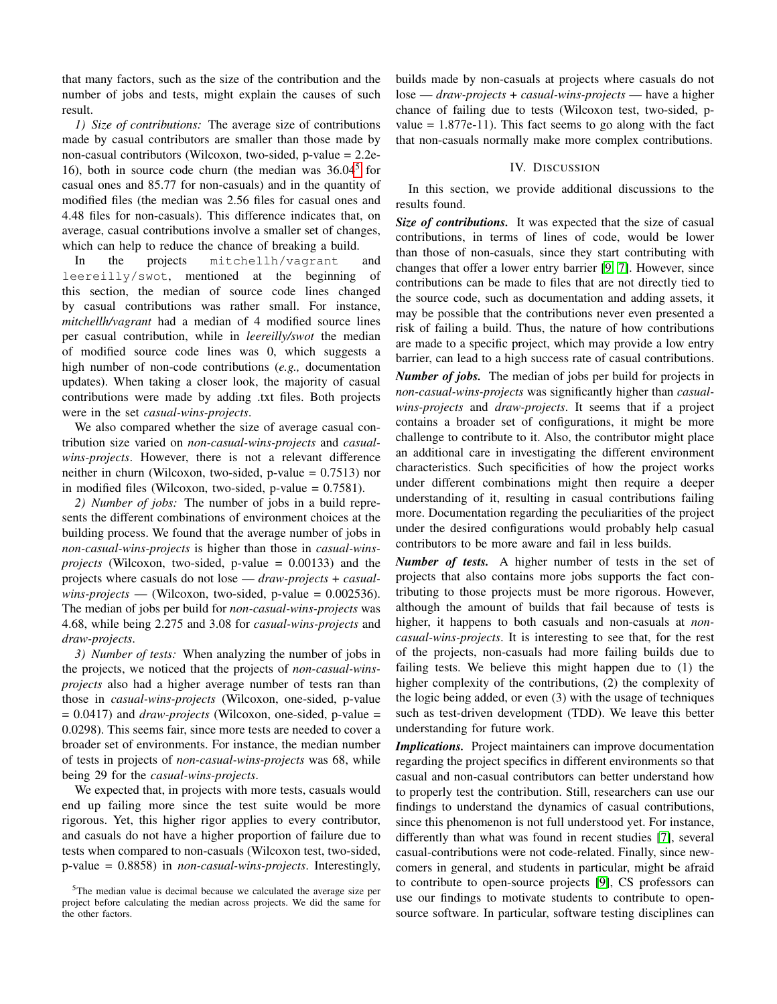that many factors, such as the size of the contribution and the number of jobs and tests, might explain the causes of such result.

*1) Size of contributions:* The average size of contributions made by casual contributors are smaller than those made by non-casual contributors (Wilcoxon, two-sided, p-value = 2.2e-16), both in source code churn (the median was 36.04[5](#page-2-0) for casual ones and 85.77 for non-casuals) and in the quantity of modified files (the median was 2.56 files for casual ones and 4.48 files for non-casuals). This difference indicates that, on average, casual contributions involve a smaller set of changes, which can help to reduce the chance of breaking a build.

In the projects mitchellh/vagrant and leereilly/swot, mentioned at the beginning of this section, the median of source code lines changed by casual contributions was rather small. For instance, *mitchellh/vagrant* had a median of 4 modified source lines per casual contribution, while in *leereilly/swot* the median of modified source code lines was 0, which suggests a high number of non-code contributions (*e.g.,* documentation updates). When taking a closer look, the majority of casual contributions were made by adding .txt files. Both projects were in the set *casual-wins-projects*.

We also compared whether the size of average casual contribution size varied on *non-casual-wins-projects* and *casualwins-projects*. However, there is not a relevant difference neither in churn (Wilcoxon, two-sided, p-value = 0.7513) nor in modified files (Wilcoxon, two-sided, p-value = 0.7581).

*2) Number of jobs:* The number of jobs in a build represents the different combinations of environment choices at the building process. We found that the average number of jobs in *non-casual-wins-projects* is higher than those in *casual-winsprojects* (Wilcoxon, two-sided, p-value = 0.00133) and the projects where casuals do not lose — *draw-projects* + *casualwins-projects* — (Wilcoxon, two-sided, p-value = 0.002536). The median of jobs per build for *non-casual-wins-projects* was 4.68, while being 2.275 and 3.08 for *casual-wins-projects* and *draw-projects*.

*3) Number of tests:* When analyzing the number of jobs in the projects, we noticed that the projects of *non-casual-winsprojects* also had a higher average number of tests ran than those in *casual-wins-projects* (Wilcoxon, one-sided, p-value = 0.0417) and *draw-projects* (Wilcoxon, one-sided, p-value = 0.0298). This seems fair, since more tests are needed to cover a broader set of environments. For instance, the median number of tests in projects of *non-casual-wins-projects* was 68, while being 29 for the *casual-wins-projects*.

We expected that, in projects with more tests, casuals would end up failing more since the test suite would be more rigorous. Yet, this higher rigor applies to every contributor, and casuals do not have a higher proportion of failure due to tests when compared to non-casuals (Wilcoxon test, two-sided, p-value = 0.8858) in *non-casual-wins-projects*. Interestingly, builds made by non-casuals at projects where casuals do not lose — *draw-projects* + *casual-wins-projects* — have a higher chance of failing due to tests (Wilcoxon test, two-sided, pvalue  $= 1.877e-11$ ). This fact seems to go along with the fact that non-casuals normally make more complex contributions.

### IV. DISCUSSION

In this section, we provide additional discussions to the results found.

*Size of contributions.* It was expected that the size of casual contributions, in terms of lines of code, would be lower than those of non-casuals, since they start contributing with changes that offer a lower entry barrier [\[9,](#page-3-3) [7\]](#page-3-4). However, since contributions can be made to files that are not directly tied to the source code, such as documentation and adding assets, it may be possible that the contributions never even presented a risk of failing a build. Thus, the nature of how contributions are made to a specific project, which may provide a low entry barrier, can lead to a high success rate of casual contributions. *Number of jobs.* The median of jobs per build for projects in *non-casual-wins-projects* was significantly higher than *casualwins-projects* and *draw-projects*. It seems that if a project contains a broader set of configurations, it might be more challenge to contribute to it. Also, the contributor might place an additional care in investigating the different environment characteristics. Such specificities of how the project works under different combinations might then require a deeper understanding of it, resulting in casual contributions failing more. Documentation regarding the peculiarities of the project under the desired configurations would probably help casual contributors to be more aware and fail in less builds.

*Number of tests.* A higher number of tests in the set of projects that also contains more jobs supports the fact contributing to those projects must be more rigorous. However, although the amount of builds that fail because of tests is higher, it happens to both casuals and non-casuals at *noncasual-wins-projects*. It is interesting to see that, for the rest of the projects, non-casuals had more failing builds due to failing tests. We believe this might happen due to (1) the higher complexity of the contributions, (2) the complexity of the logic being added, or even (3) with the usage of techniques such as test-driven development (TDD). We leave this better understanding for future work.

*Implications.* Project maintainers can improve documentation regarding the project specifics in different environments so that casual and non-casual contributors can better understand how to properly test the contribution. Still, researchers can use our findings to understand the dynamics of casual contributions, since this phenomenon is not full understood yet. For instance, differently than what was found in recent studies [\[7\]](#page-3-4), several casual-contributions were not code-related. Finally, since newcomers in general, and students in particular, might be afraid to contribute to open-source projects [\[9\]](#page-3-3), CS professors can use our findings to motivate students to contribute to opensource software. In particular, software testing disciplines can

<span id="page-2-0"></span><sup>5</sup>The median value is decimal because we calculated the average size per project before calculating the median across projects. We did the same for the other factors.